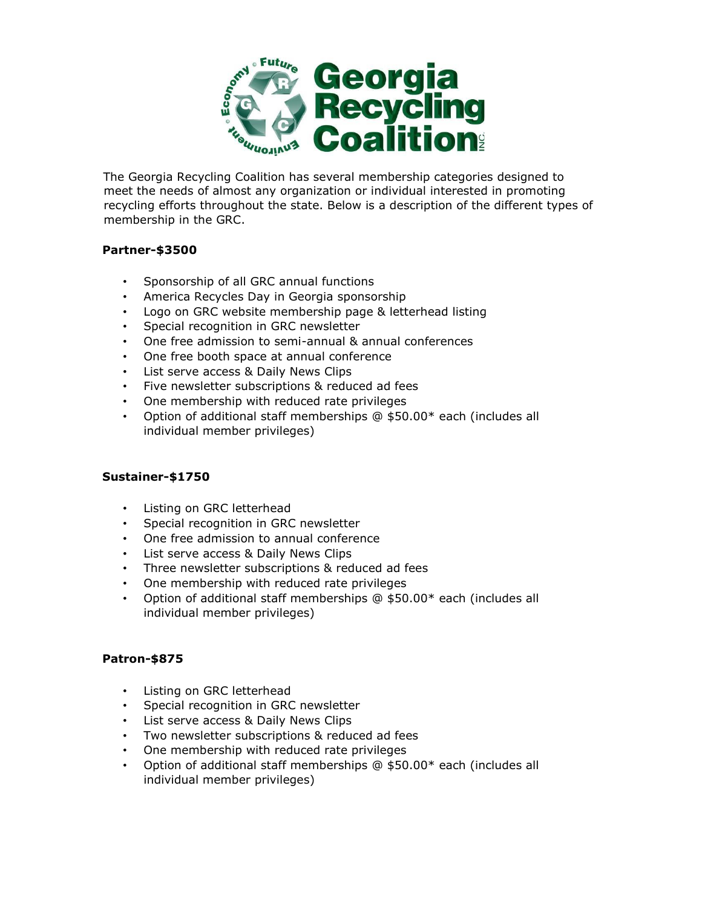

The Georgia Recycling Coalition has several membership categories designed to meet the needs of almost any organization or individual interested in promoting recycling efforts throughout the state. Below is a description of the different types of membership in the GRC.

# **Partner-\$3500**

- Sponsorship of all GRC annual functions
- America Recycles Day in Georgia sponsorship
- Logo on GRC website membership page & letterhead listing
- Special recognition in GRC newsletter
- One free admission to semi-annual & annual conferences
- One free booth space at annual conference
- List serve access & Daily News Clips
- Five newsletter subscriptions & reduced ad fees
- One membership with reduced rate privileges
- Option of additional staff memberships @ \$50.00\* each (includes all individual member privileges)

## **Sustainer-\$1750**

- Listing on GRC letterhead
- Special recognition in GRC newsletter
- One free admission to annual conference
- List serve access & Daily News Clips
- Three newsletter subscriptions & reduced ad fees
- One membership with reduced rate privileges
- Option of additional staff memberships @ \$50.00\* each (includes all individual member privileges)

## **Patron-\$875**

- Listing on GRC letterhead
- Special recognition in GRC newsletter
- List serve access & Daily News Clips
- Two newsletter subscriptions & reduced ad fees
- One membership with reduced rate privileges
- Option of additional staff memberships @ \$50.00\* each (includes all individual member privileges)